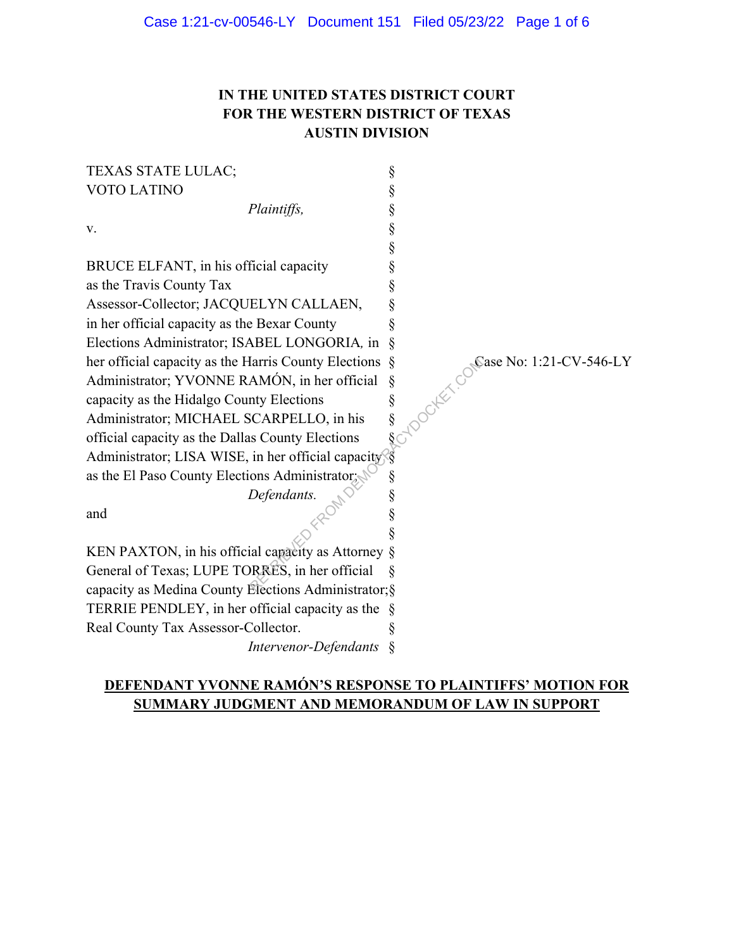# **IN THE UNITED STATES DISTRICT COURT FOR THE WESTERN DISTRICT OF TEXAS AUSTIN DIVISION**

TEXAS STATE LULAC; VOTO LATINO § *Plaintiffs,* § v.  $\S$  § BRUCE ELFANT, in his official capacity  $\S$ as the Travis County Tax  $\S$ Assessor-Collector; JACQUELYN CALLAEN, § in her official capacity as the Bexar County  $\S$ Elections Administrator; ISABEL LONGORIA*,* in § her official capacity as the Harris County Elections § Case No: 1:21-CV-546-LY Administrator; YVONNE RAMÓN, in her official § capacity as the Hidalgo County Elections § Administrator; MICHAEL SCARPELLO, in his § official capacity as the Dallas County Elections § Administrator; LISA WISE, in her official capacity as the El Paso County Elections Administrator;  $\sqrt{\frac{9}{5}}$ *Defendants.* § and  $\qquad \qquad \otimes$   $\qquad \qquad$   $\qquad \qquad$  $\otimes$  \compared \compared \compared \compared \compared \compared \compared \compared \compared \compared \compared \compared \compared \compared \compared \compared \compared \compared \compared \compared \compared \comp KEN PAXTON, in his official capacity as Attorney § General of Texas; LUPE TORRES, in her official § RETROCKET.COM

capacity as Medina County Elections Administrator;§ TERRIE PENDLEY, in her official capacity as the §

Real County Tax Assessor-Collector.

# **DEFENDANT YVONNE RAMÓN'S RESPONSE TO PLAINTIFFS' MOTION FOR SUMMARY JUDGMENT AND MEMORANDUM OF LAW IN SUPPORT**

*Intervenor-Defendants* §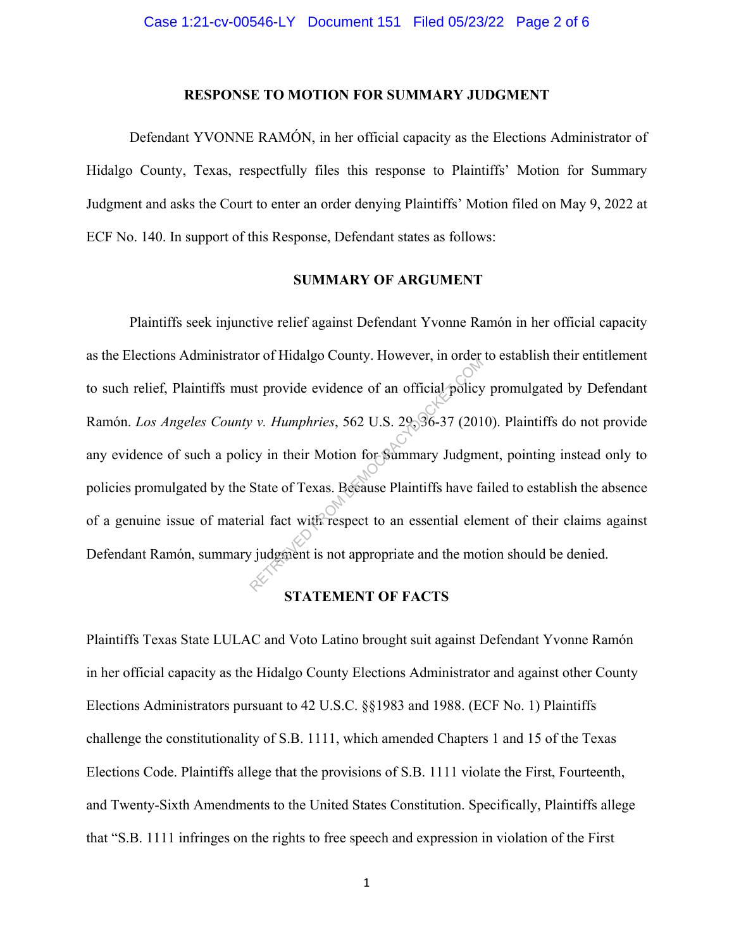### **RESPONSE TO MOTION FOR SUMMARY JUDGMENT**

Defendant YVONNE RAMÓN, in her official capacity as the Elections Administrator of Hidalgo County, Texas, respectfully files this response to Plaintiffs' Motion for Summary Judgment and asks the Court to enter an order denying Plaintiffs' Motion filed on May 9, 2022 at ECF No. 140. In support of this Response, Defendant states as follows:

### **SUMMARY OF ARGUMENT**

Plaintiffs seek injunctive relief against Defendant Yvonne Ramón in her official capacity as the Elections Administrator of Hidalgo County. However, in order to establish their entitlement to such relief, Plaintiffs must provide evidence of an official policy promulgated by Defendant Ramón. *Los Angeles County v. Humphries*, 562 U.S. 29, 36-37 (2010). Plaintiffs do not provide any evidence of such a policy in their Motion for Summary Judgment, pointing instead only to policies promulgated by the State of Texas. Because Plaintiffs have failed to establish the absence of a genuine issue of material fact with respect to an essential element of their claims against Defendant Ramón, summary judgment is not appropriate and the motion should be denied. St provide evidence of an official policy<br>x v. Humphries, 562 U.S. 29, 36-37 (201<br>cy in their Motion for Summary Judgme<br>State of Texas. Because Plaintiffs have fail fact with respect to an essential eler<br>y judgment is not

# **STATEMENT OF FACTS**

Plaintiffs Texas State LULAC and Voto Latino brought suit against Defendant Yvonne Ramón in her official capacity as the Hidalgo County Elections Administrator and against other County Elections Administrators pursuant to 42 U.S.C. §§1983 and 1988. (ECF No. 1) Plaintiffs challenge the constitutionality of S.B. 1111, which amended Chapters 1 and 15 of the Texas Elections Code. Plaintiffs allege that the provisions of S.B. 1111 violate the First, Fourteenth, and Twenty-Sixth Amendments to the United States Constitution. Specifically, Plaintiffs allege that "S.B. 1111 infringes on the rights to free speech and expression in violation of the First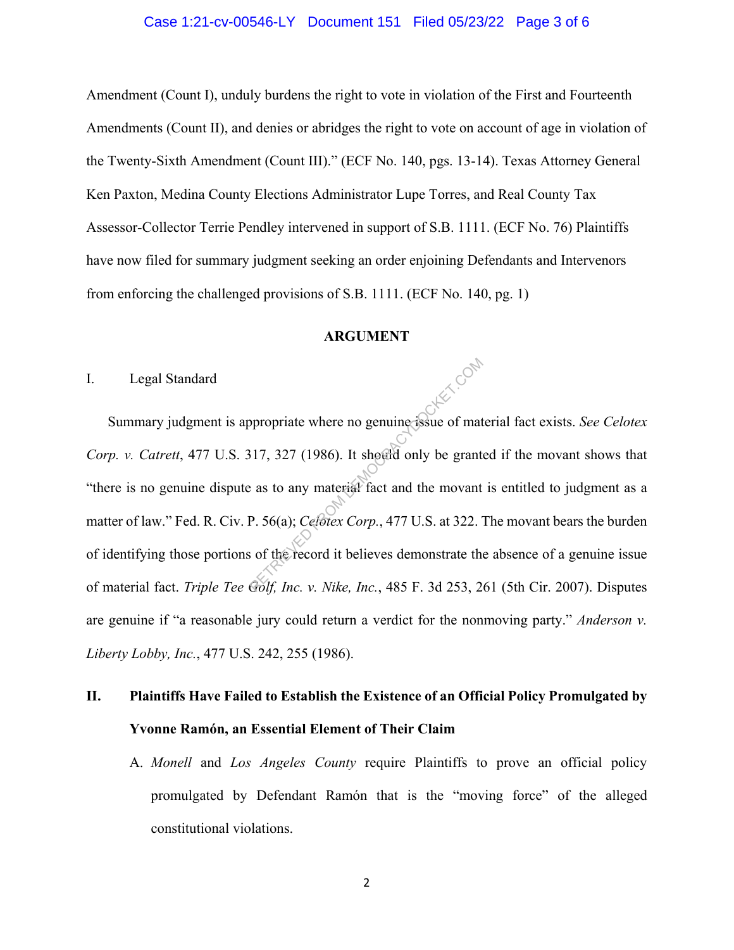## Case 1:21-cv-00546-LY Document 151 Filed 05/23/22 Page 3 of 6

Amendment (Count I), unduly burdens the right to vote in violation of the First and Fourteenth Amendments (Count II), and denies or abridges the right to vote on account of age in violation of the Twenty-Sixth Amendment (Count III)." (ECF No. 140, pgs. 13-14). Texas Attorney General Ken Paxton, Medina County Elections Administrator Lupe Torres, and Real County Tax Assessor-Collector Terrie Pendley intervened in support of S.B. 1111. (ECF No. 76) Plaintiffs have now filed for summary judgment seeking an order enjoining Defendants and Intervenors from enforcing the challenged provisions of S.B. 1111. (ECF No. 140, pg. 1)

## **ARGUMENT**

# I. Legal Standard

Summary judgment is appropriate where no genuine issue of material fact exists. *See Celotex Corp. v. Catrett*, 477 U.S. 317, 327 (1986). It should only be granted if the movant shows that "there is no genuine dispute as to any material fact and the movant is entitled to judgment as a matter of law." Fed. R. Civ. P. 56(a); *Celotex Corp.*, 477 U.S. at 322. The movant bears the burden of identifying those portions of the record it believes demonstrate the absence of a genuine issue of material fact. *Triple Tee Golf, Inc. v. Nike, Inc.*, 485 F. 3d 253, 261 (5th Cir. 2007). Disputes are genuine if "a reasonable jury could return a verdict for the nonmoving party." *Anderson v. Liberty Lobby, Inc.*, 477 U.S. 242, 255 (1986). ppropriate where no genuine issue of mat<br>  $8117, 327$  (1986). It should only be grant<br>  $x$  as to any material fact and the movant<br>  $P. 56(a)$ ; *Celotex Corp.*, 477 U.S. at 322.<br>  $x$  of the record it believes demonstrate th

# **II. Plaintiffs Have Failed to Establish the Existence of an Official Policy Promulgated by Yvonne Ramón, an Essential Element of Their Claim**

A. *Monell* and *Los Angeles County* require Plaintiffs to prove an official policy promulgated by Defendant Ramón that is the "moving force" of the alleged constitutional violations.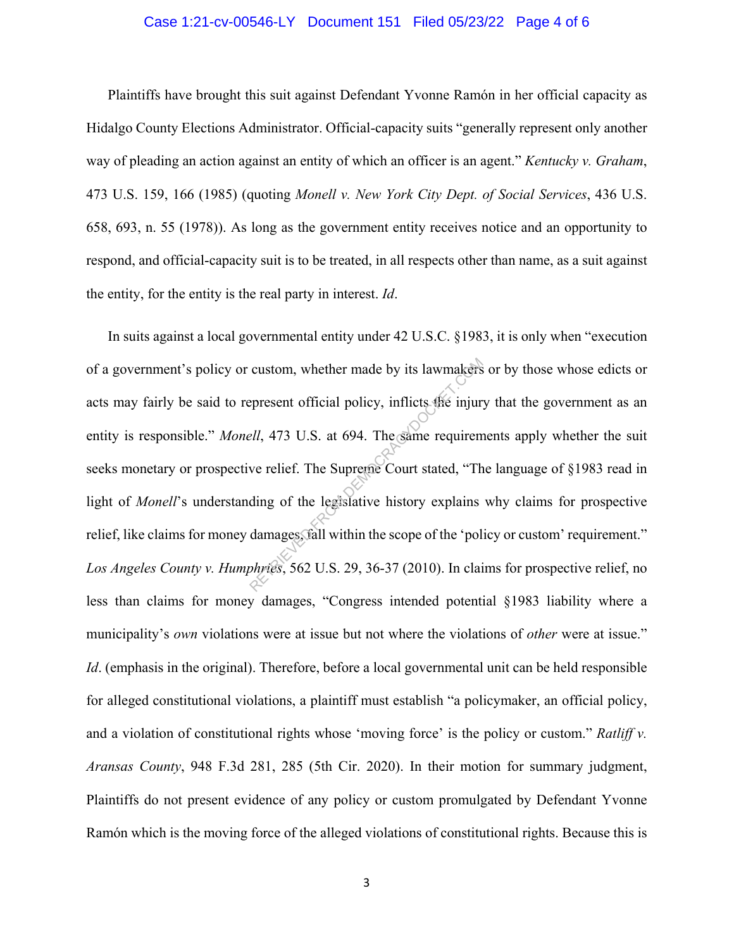## Case 1:21-cv-00546-LY Document 151 Filed 05/23/22 Page 4 of 6

Plaintiffs have brought this suit against Defendant Yvonne Ramón in her official capacity as Hidalgo County Elections Administrator. Official-capacity suits "generally represent only another way of pleading an action against an entity of which an officer is an agent." *Kentucky v. Graham*, 473 U.S. 159, 166 (1985) (quoting *Monell v. New York City Dept. of Social Services*, 436 U.S. 658, 693, n. 55 (1978)). As long as the government entity receives notice and an opportunity to respond, and official-capacity suit is to be treated, in all respects other than name, as a suit against the entity, for the entity is the real party in interest. *Id*.

In suits against a local governmental entity under 42 U.S.C. §1983, it is only when "execution of a government's policy or custom, whether made by its lawmakers or by those whose edicts or acts may fairly be said to represent official policy, inflicts the injury that the government as an entity is responsible." *Monell*, 473 U.S. at 694. The same requirements apply whether the suit seeks monetary or prospective relief. The Supreme Court stated, "The language of §1983 read in light of *Monell*'s understanding of the legislative history explains why claims for prospective relief, like claims for money damages, fall within the scope of the 'policy or custom' requirement." *Los Angeles County v. Humphries*, 562 U.S. 29, 36-37 (2010). In claims for prospective relief, no less than claims for money damages, "Congress intended potential §1983 liability where a municipality's *own* violations were at issue but not where the violations of *other* were at issue." *Id.* (emphasis in the original). Therefore, before a local governmental unit can be held responsible for alleged constitutional violations, a plaintiff must establish "a policymaker, an official policy, and a violation of constitutional rights whose 'moving force' is the policy or custom." *Ratliff v. Aransas County*, 948 F.3d 281, 285 (5th Cir. 2020). In their motion for summary judgment, Plaintiffs do not present evidence of any policy or custom promulgated by Defendant Yvonne Ramón which is the moving force of the alleged violations of constitutional rights. Because this is custom, whether made by its lawmakers<br>epresent official policy, inflicts the injur-<br>ell, 473 U.S. at 694. The same requirem<br>we relief. The Supreme Court stated, "The<br>ding of the legislative history explains<br>damages fall wi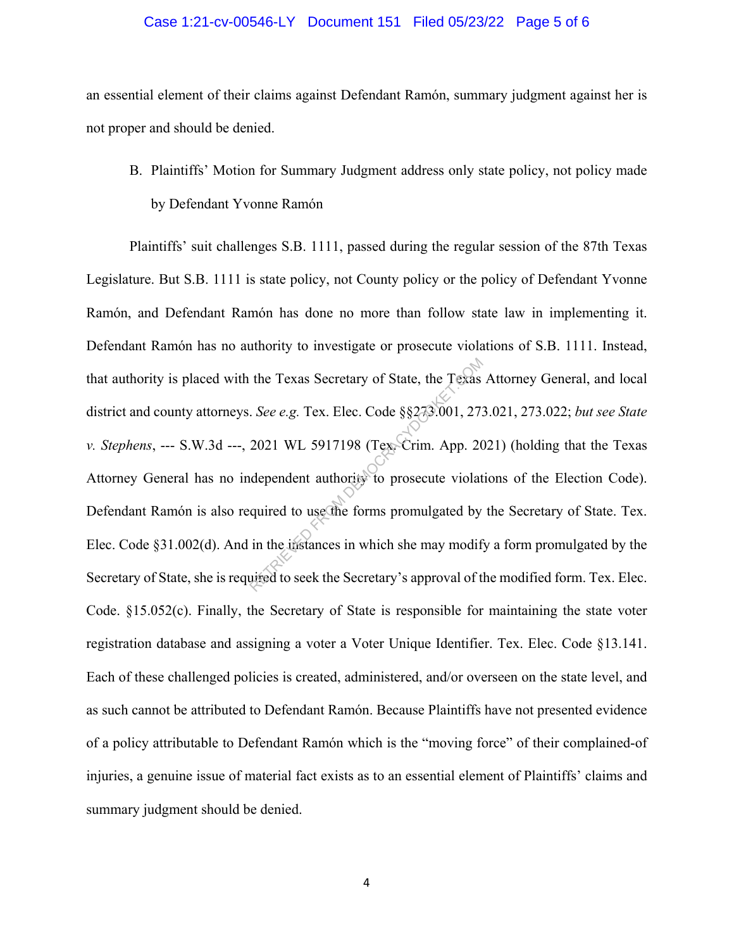## Case 1:21-cv-00546-LY Document 151 Filed 05/23/22 Page 5 of 6

an essential element of their claims against Defendant Ramón, summary judgment against her is not proper and should be denied.

B. Plaintiffs' Motion for Summary Judgment address only state policy, not policy made by Defendant Yvonne Ramón

Plaintiffs' suit challenges S.B. 1111, passed during the regular session of the 87th Texas Legislature. But S.B. 1111 is state policy, not County policy or the policy of Defendant Yvonne Ramón, and Defendant Ramón has done no more than follow state law in implementing it. Defendant Ramón has no authority to investigate or prosecute violations of S.B. 1111. Instead, that authority is placed with the Texas Secretary of State, the Texas Attorney General, and local district and county attorneys. *See e.g.* Tex. Elec. Code §§273.001, 273.021, 273.022; *but see State v. Stephens*, --- S.W.3d ---, 2021 WL 5917198 (Tex. Crim. App. 2021) (holding that the Texas Attorney General has no independent authority to prosecute violations of the Election Code). Defendant Ramón is also required to use the forms promulgated by the Secretary of State. Tex. Elec. Code §31.002(d). And in the instances in which she may modify a form promulgated by the Secretary of State, she is required to seek the Secretary's approval of the modified form. Tex. Elec. Code. §15.052(c). Finally, the Secretary of State is responsible for maintaining the state voter registration database and assigning a voter a Voter Unique Identifier. Tex. Elec. Code §13.141. Each of these challenged policies is created, administered, and/or overseen on the state level, and as such cannot be attributed to Defendant Ramón. Because Plaintiffs have not presented evidence of a policy attributable to Defendant Ramón which is the "moving force" of their complained-of injuries, a genuine issue of material fact exists as to an essential element of Plaintiffs' claims and summary judgment should be denied. the Texas Secretary of State, the Texas<br>
See e.g. Tex. Elec. Code §§273.001, 27.<br>
2021 WL 5917198 (Tex. Crim. App. 20<br>
dependent authority to prosecute violat<br>
quired to use the forms promulgated by<br>
in the instances in wh